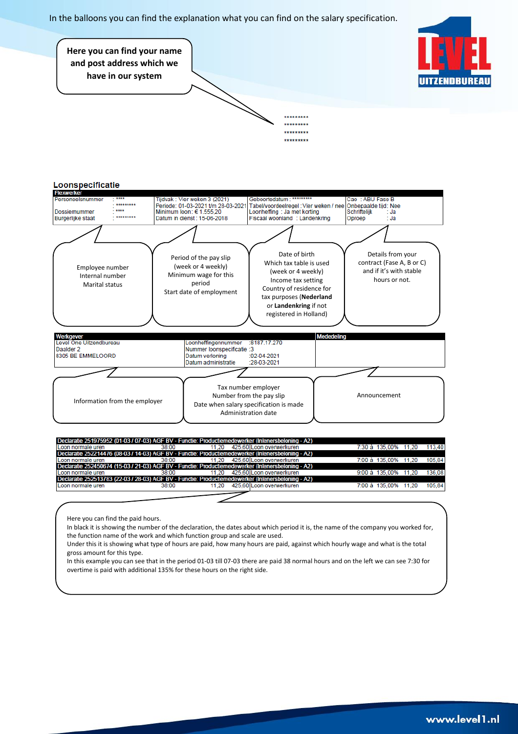In the balloons you can find the explanation what you can find on the salary specification.





Here you can find the paid hours.

In black it is showing the number of the declaration, the dates about which period it is, the name of the company you worked for, the function name of the work and which function group and scale are used.

Under this it is showing what type of hours are paid, how many hours are paid, against which hourly wage and what is the total gross amount for this type.

In this example you can see that in the period 01-03 till 07-03 there are paid 38 normal hours and on the left we can see 7:30 for overtime is paid with additional 135% for these hours on the right side.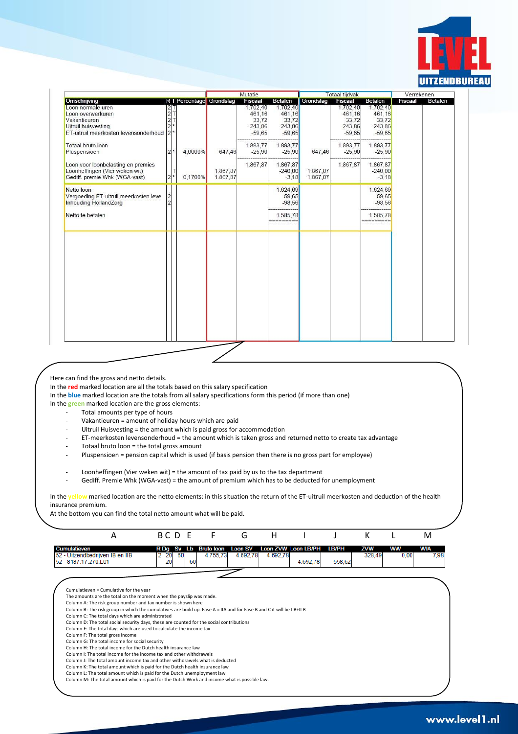

|                                                                                                                        |                                                           |                                |                      | Mutatie                                              |                                                      |                      | <b>Totaal tijdvak</b>                                |                                                      | Verrekenen |                |
|------------------------------------------------------------------------------------------------------------------------|-----------------------------------------------------------|--------------------------------|----------------------|------------------------------------------------------|------------------------------------------------------|----------------------|------------------------------------------------------|------------------------------------------------------|------------|----------------|
| Omschrijving                                                                                                           |                                                           | <b>RT</b> Percentage Grondslag |                      | <b>Fiscaal</b>                                       | <b>Betalen</b>                                       | Grondslag            | Fiscaal                                              | <b>Betalen</b>                                       | Fiscaal    | <b>Betalen</b> |
| Loon normale uren<br>Loon overwerkuren<br>Vakantieuren<br>Uitruil huisvesting<br>ET-uitruil meerkosten levensonderhoud | $\begin{array}{c}\n 2T \\ 2T \\ 2\n \end{array}$<br>$2^*$ |                                |                      | 1.702,40<br>461,16<br>33,72<br>$-243,86$<br>$-59,65$ | 1.702,40<br>461.16<br>33,72<br>$-243,86$<br>$-59,65$ |                      | 1.702,40<br>461,16<br>33,72<br>$-243,86$<br>$-59,65$ | 1.702,40<br>461.16<br>33,72<br>$-243,86$<br>$-59,65$ |            |                |
| Totaal bruto loon<br>Pluspensioen                                                                                      | $2^*$                                                     | 4.0000%                        | 647,46               | 1.893,77<br>$-25,90$                                 | 1.893,77<br>$-25,90$                                 | 647,46               | 1.893,77<br>$-25,90$                                 | 1.893,77<br>$-25,90$                                 |            |                |
| Loon voor loonbelasting en premies<br>Loonheffingen (Vier weken wit)<br>Gediff. premie Whk (WGA-vast)                  | IΤ<br>$2^*$                                               | 0.1700%                        | 1.867,87<br>1.867,87 | 1.867,87                                             | 1.867,87<br>$-240,00$<br>$-3,18$                     | 1.867,87<br>1.867,87 | 1.867,87                                             | 1.867,87<br>$-240,00$<br>$-3,18$                     |            |                |
| Netto loon<br>Vergoeding ET-uitruil meerkosten leve<br>Inhouding HollandZorg                                           | $\mathfrak{D}$                                            |                                |                      |                                                      | 1.624,69<br>59,65<br>$-98,56$                        |                      |                                                      | 1.624,69<br>59,65<br>$-98,56$                        |            |                |
| Netto te betalen                                                                                                       |                                                           |                                |                      |                                                      | 1.585,78<br>=========                                |                      |                                                      | 1.585,78<br>==========                               |            |                |
|                                                                                                                        |                                                           |                                |                      |                                                      |                                                      |                      |                                                      |                                                      |            |                |
|                                                                                                                        |                                                           |                                |                      |                                                      |                                                      |                      |                                                      |                                                      |            |                |
|                                                                                                                        |                                                           |                                |                      |                                                      |                                                      |                      |                                                      |                                                      |            |                |
|                                                                                                                        |                                                           |                                |                      |                                                      |                                                      |                      |                                                      |                                                      |            |                |
|                                                                                                                        |                                                           |                                |                      |                                                      |                                                      |                      |                                                      |                                                      |            |                |
|                                                                                                                        |                                                           |                                |                      |                                                      |                                                      |                      |                                                      |                                                      |            |                |

Here can find the gross and netto details.

In the **red** marked location are all the totals based on this salary specification

In the **blue** marked location are the totals from all salary specifications form this period (if more than one)

In the **green** marked location are the gross elements:

- Total amounts per type of hours
- Vakantieuren = amount of holiday hours which are paid
- Uitruil Huisvesting = the amount which is paid gross for accommodation
- ET-meerkosten levensonderhoud = the amount which is taken gross and returned netto to create tax advantage
- Totaal bruto loon = the total gross amount
- Pluspensioen = pension capital which is used (if basis pension then there is no gross part for employee)
- Loonheffingen (Vier weken wit) = the amount of tax paid by us to the tax department
- Gediff. Premie Whk (WGA-vast) = the amount of premium which has to be deducted for unemployment

In the **yellow** marked location are the netto elements: in this situation the return of the ET-uitruil meerkosten and deduction of the health insurance premium.

At the bottom you can find the total netto amount what will be paid.



Column G: The total income for social security

Column H: The total income for the Dutch health insurance law Column I: The total income for the income tax and other withdrawels

Column J: The total amount income tax and other withdrawels what is deducted

Column K: The total amount which is paid for the Dutch health insurance law

Column L: The total amount which is paid for the Dutch unemployment law

Column M: The total amount which is paid for the Dutch Work and income what is possible law.